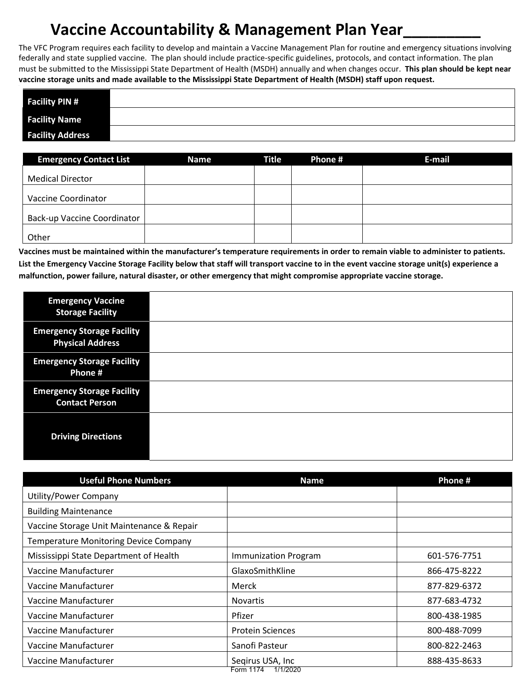# **Vaccine Accountability & Management Plan Year\_\_\_\_\_\_\_\_\_**

The VFC Program requires each facility to develop and maintain a Vaccine Management Plan for routine and emergency situations involving federally and state supplied vaccine. The plan should include practice-specific guidelines, protocols, and contact information. The plan must be submitted to the Mississippi State Department of Health (MSDH) annually and when changes occur. **This plan should be kept near vaccine storage units and made available to the Mississippi State Department of Health (MSDH) staff upon request. .** 

| <b>Facility PIN #</b>   |  |
|-------------------------|--|
| <b>Facility Name</b>    |  |
| <b>Facility Address</b> |  |

| <b>Emergency Contact List</b>      | Name | <b>Title</b> | Phone # | E-mail |
|------------------------------------|------|--------------|---------|--------|
| <b>Medical Director</b>            |      |              |         |        |
| Vaccine Coordinator                |      |              |         |        |
| <b>Back-up Vaccine Coordinator</b> |      |              |         |        |
| Other                              |      |              |         |        |

**Vaccines must be maintained within the manufacturer's temperature requirements in order to remain viable to administer to patients. List the Emergency Vaccine Storage Facility below that staff will transport vaccine to in the event vaccine storage unit(s) experience a malfunction, power failure, natural disaster, or other emergency that might compromise appropriate vaccine storage.** 

| <b>Emergency Vaccine</b><br><b>Storage Facility</b>          |  |
|--------------------------------------------------------------|--|
| <b>Emergency Storage Facility</b><br><b>Physical Address</b> |  |
| <b>Emergency Storage Facility</b><br>Phone #                 |  |
| <b>Emergency Storage Facility</b><br><b>Contact Person</b>   |  |
| <b>Driving Directions</b>                                    |  |

| <b>Useful Phone Numbers</b>                  | <b>Name</b>             | Phone #      |
|----------------------------------------------|-------------------------|--------------|
| Utility/Power Company                        |                         |              |
| <b>Building Maintenance</b>                  |                         |              |
| Vaccine Storage Unit Maintenance & Repair    |                         |              |
| <b>Temperature Monitoring Device Company</b> |                         |              |
| Mississippi State Department of Health       | Immunization Program    | 601-576-7751 |
| Vaccine Manufacturer                         | GlaxoSmithKline         | 866-475-8222 |
| Vaccine Manufacturer                         | Merck                   | 877-829-6372 |
| Vaccine Manufacturer                         | <b>Novartis</b>         | 877-683-4732 |
| Vaccine Manufacturer                         | Pfizer                  | 800-438-1985 |
| Vaccine Manufacturer                         | <b>Protein Sciences</b> | 800-488-7099 |
| Vaccine Manufacturer                         | Sanofi Pasteur          | 800-822-2463 |
| Vaccine Manufacturer                         | Segirus USA, Inc.       | 888-435-8633 |
|                                              | Form 1174 1/1/2020      |              |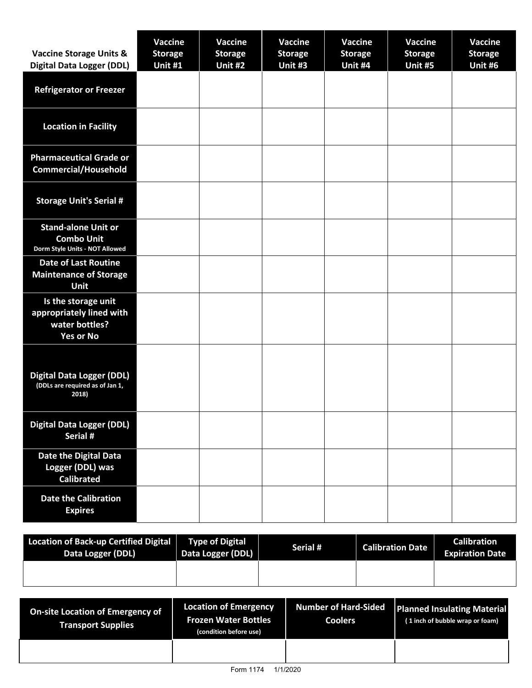| <b>Vaccine Storage Units &amp;</b><br><b>Digital Data Logger (DDL)</b>                | <b>Vaccine</b><br><b>Storage</b><br>Unit #1 | <b>Vaccine</b><br><b>Storage</b><br>Unit #2 | <b>Vaccine</b><br><b>Storage</b><br>Unit #3 | <b>Vaccine</b><br><b>Storage</b><br>Unit #4 | Vaccine<br><b>Storage</b><br>Unit #5 | <b>Vaccine</b><br><b>Storage</b><br>Unit #6 |
|---------------------------------------------------------------------------------------|---------------------------------------------|---------------------------------------------|---------------------------------------------|---------------------------------------------|--------------------------------------|---------------------------------------------|
| <b>Refrigerator or Freezer</b>                                                        |                                             |                                             |                                             |                                             |                                      |                                             |
| <b>Location in Facility</b>                                                           |                                             |                                             |                                             |                                             |                                      |                                             |
| <b>Pharmaceutical Grade or</b><br><b>Commercial/Household</b>                         |                                             |                                             |                                             |                                             |                                      |                                             |
| <b>Storage Unit's Serial #</b>                                                        |                                             |                                             |                                             |                                             |                                      |                                             |
| <b>Stand-alone Unit or</b><br><b>Combo Unit</b><br>Dorm Style Units - NOT Allowed     |                                             |                                             |                                             |                                             |                                      |                                             |
| <b>Date of Last Routine</b><br><b>Maintenance of Storage</b><br><b>Unit</b>           |                                             |                                             |                                             |                                             |                                      |                                             |
| Is the storage unit<br>appropriately lined with<br>water bottles?<br><b>Yes or No</b> |                                             |                                             |                                             |                                             |                                      |                                             |
| <b>Digital Data Logger (DDL)</b><br>(DDLs are required as of Jan 1,<br>2018)          |                                             |                                             |                                             |                                             |                                      |                                             |
| <b>Digital Data Logger (DDL)</b><br>Serial #                                          |                                             |                                             |                                             |                                             |                                      |                                             |
| Date the Digital Data<br>Logger (DDL) was<br><b>Calibrated</b>                        |                                             |                                             |                                             |                                             |                                      |                                             |
| <b>Date the Calibration</b><br><b>Expires</b>                                         |                                             |                                             |                                             |                                             |                                      |                                             |

| Location of Back-up Certified Digital<br>Data Logger (DDL) | <b>Type of Digital</b><br>Data Logger (DDL) | Serial # | <b>Calibration Date</b> | <b>Calibration</b><br><b>Expiration Date</b> |
|------------------------------------------------------------|---------------------------------------------|----------|-------------------------|----------------------------------------------|
|                                                            |                                             |          |                         |                                              |

| On-site Location of Emergency of<br><b>Transport Supplies</b> | <b>Location of Emergency</b><br><b>Frozen Water Bottles</b><br>(condition before use) | Number of Hard-Sided<br><b>Coolers</b> | <b>Planned Insulating Material</b><br>(1 inch of bubble wrap or foam) |
|---------------------------------------------------------------|---------------------------------------------------------------------------------------|----------------------------------------|-----------------------------------------------------------------------|
|                                                               |                                                                                       |                                        |                                                                       |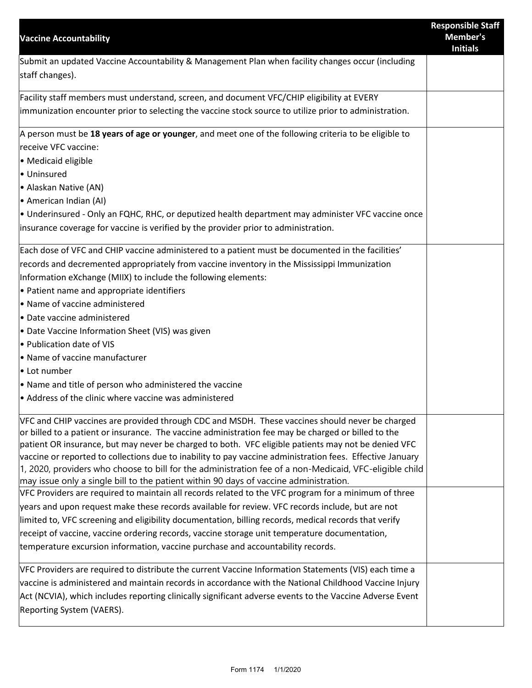| <b>Vaccine Accountability</b>                                                                                                                                                                                                                                                                                                                                                                                                                                                                                                                                                                                                              | <b>Responsible Staff</b><br>Member's<br><b>Initials</b> |
|--------------------------------------------------------------------------------------------------------------------------------------------------------------------------------------------------------------------------------------------------------------------------------------------------------------------------------------------------------------------------------------------------------------------------------------------------------------------------------------------------------------------------------------------------------------------------------------------------------------------------------------------|---------------------------------------------------------|
| Submit an updated Vaccine Accountability & Management Plan when facility changes occur (including<br>staff changes).                                                                                                                                                                                                                                                                                                                                                                                                                                                                                                                       |                                                         |
| Facility staff members must understand, screen, and document VFC/CHIP eligibility at EVERY<br>immunization encounter prior to selecting the vaccine stock source to utilize prior to administration.                                                                                                                                                                                                                                                                                                                                                                                                                                       |                                                         |
| A person must be 18 years of age or younger, and meet one of the following criteria to be eligible to<br>receive VFC vaccine:<br>• Medicaid eligible<br>• Uninsured<br>• Alaskan Native (AN)<br>• American Indian (AI)                                                                                                                                                                                                                                                                                                                                                                                                                     |                                                         |
| • Underinsured - Only an FQHC, RHC, or deputized health department may administer VFC vaccine once<br>insurance coverage for vaccine is verified by the provider prior to administration.                                                                                                                                                                                                                                                                                                                                                                                                                                                  |                                                         |
| Each dose of VFC and CHIP vaccine administered to a patient must be documented in the facilities'<br>records and decremented appropriately from vaccine inventory in the Mississippi Immunization<br>Information eXchange (MIIX) to include the following elements:<br>• Patient name and appropriate identifiers<br>• Name of vaccine administered<br>• Date vaccine administered<br>• Date Vaccine Information Sheet (VIS) was given<br>• Publication date of VIS<br>• Name of vaccine manufacturer<br>• Lot number<br>• Name and title of person who administered the vaccine<br>• Address of the clinic where vaccine was administered |                                                         |
| VFC and CHIP vaccines are provided through CDC and MSDH. These vaccines should never be charged<br>or billed to a patient or insurance. The vaccine administration fee may be charged or billed to the<br>patient OR insurance, but may never be charged to both. VFC eligible patients may not be denied VFC<br>vaccine or reported to collections due to inability to pay vaccine administration fees. Effective January<br>1, 2020, providers who choose to bill for the administration fee of a non-Medicaid, VFC-eligible child<br>may issue only a single bill to the patient within 90 days of vaccine administration.              |                                                         |
| VFC Providers are required to maintain all records related to the VFC program for a minimum of three<br>years and upon request make these records available for review. VFC records include, but are not<br>limited to, VFC screening and eligibility documentation, billing records, medical records that verify<br>receipt of vaccine, vaccine ordering records, vaccine storage unit temperature documentation,<br>temperature excursion information, vaccine purchase and accountability records.                                                                                                                                      |                                                         |
| VFC Providers are required to distribute the current Vaccine Information Statements (VIS) each time a<br>vaccine is administered and maintain records in accordance with the National Childhood Vaccine Injury<br>Act (NCVIA), which includes reporting clinically significant adverse events to the Vaccine Adverse Event<br>Reporting System (VAERS).                                                                                                                                                                                                                                                                                    |                                                         |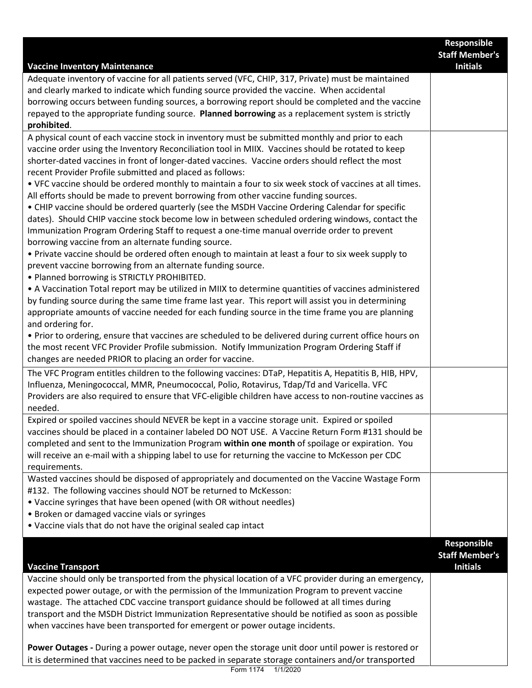| <b>Vaccine Inventory Maintenance</b>                                                                                                                                                                                                                                                                                                                                                                                                                                                                                                                                                                                                                                                                                                                                                                                                                                                                                                                                                                                                                                                                                                                                                                                                                                                                                                                                                                                                                                                                                                                                                                                                                                                                                                                                  | Responsible<br><b>Staff Member's</b><br><b>Initials</b>        |
|-----------------------------------------------------------------------------------------------------------------------------------------------------------------------------------------------------------------------------------------------------------------------------------------------------------------------------------------------------------------------------------------------------------------------------------------------------------------------------------------------------------------------------------------------------------------------------------------------------------------------------------------------------------------------------------------------------------------------------------------------------------------------------------------------------------------------------------------------------------------------------------------------------------------------------------------------------------------------------------------------------------------------------------------------------------------------------------------------------------------------------------------------------------------------------------------------------------------------------------------------------------------------------------------------------------------------------------------------------------------------------------------------------------------------------------------------------------------------------------------------------------------------------------------------------------------------------------------------------------------------------------------------------------------------------------------------------------------------------------------------------------------------|----------------------------------------------------------------|
| Adequate inventory of vaccine for all patients served (VFC, CHIP, 317, Private) must be maintained<br>and clearly marked to indicate which funding source provided the vaccine. When accidental<br>borrowing occurs between funding sources, a borrowing report should be completed and the vaccine<br>repayed to the appropriate funding source. Planned borrowing as a replacement system is strictly<br>prohibited.                                                                                                                                                                                                                                                                                                                                                                                                                                                                                                                                                                                                                                                                                                                                                                                                                                                                                                                                                                                                                                                                                                                                                                                                                                                                                                                                                |                                                                |
| A physical count of each vaccine stock in inventory must be submitted monthly and prior to each<br>vaccine order using the Inventory Reconciliation tool in MIIX. Vaccines should be rotated to keep<br>shorter-dated vaccines in front of longer-dated vaccines. Vaccine orders should reflect the most<br>recent Provider Profile submitted and placed as follows:<br>. VFC vaccine should be ordered monthly to maintain a four to six week stock of vaccines at all times.<br>All efforts should be made to prevent borrowing from other vaccine funding sources.<br>• CHIP vaccine should be ordered quarterly (see the MSDH Vaccine Ordering Calendar for specific<br>dates). Should CHIP vaccine stock become low in between scheduled ordering windows, contact the<br>Immunization Program Ordering Staff to request a one-time manual override order to prevent<br>borrowing vaccine from an alternate funding source.<br>• Private vaccine should be ordered often enough to maintain at least a four to six week supply to<br>prevent vaccine borrowing from an alternate funding source.<br>• Planned borrowing is STRICTLY PROHIBITED.<br>• A Vaccination Total report may be utilized in MIIX to determine quantities of vaccines administered<br>by funding source during the same time frame last year. This report will assist you in determining<br>appropriate amounts of vaccine needed for each funding source in the time frame you are planning<br>and ordering for.<br>. Prior to ordering, ensure that vaccines are scheduled to be delivered during current office hours on<br>the most recent VFC Provider Profile submission. Notify Immunization Program Ordering Staff if<br>changes are needed PRIOR to placing an order for vaccine. |                                                                |
| The VFC Program entitles children to the following vaccines: DTaP, Hepatitis A, Hepatitis B, HIB, HPV,<br>Influenza, Meningococcal, MMR, Pneumococcal, Polio, Rotavirus, Tdap/Td and Varicella. VFC<br>Providers are also required to ensure that VFC-eligible children have access to non-routine vaccines as<br>needed.                                                                                                                                                                                                                                                                                                                                                                                                                                                                                                                                                                                                                                                                                                                                                                                                                                                                                                                                                                                                                                                                                                                                                                                                                                                                                                                                                                                                                                             |                                                                |
| Expired or spoiled vaccines should NEVER be kept in a vaccine storage unit. Expired or spoiled<br>vaccines should be placed in a container labeled DO NOT USE. A Vaccine Return Form #131 should be<br>completed and sent to the Immunization Program within one month of spoilage or expiration. You<br>will receive an e-mail with a shipping label to use for returning the vaccine to McKesson per CDC<br>requirements.                                                                                                                                                                                                                                                                                                                                                                                                                                                                                                                                                                                                                                                                                                                                                                                                                                                                                                                                                                                                                                                                                                                                                                                                                                                                                                                                           |                                                                |
| Wasted vaccines should be disposed of appropriately and documented on the Vaccine Wastage Form<br>#132. The following vaccines should NOT be returned to McKesson:<br>• Vaccine syringes that have been opened (with OR without needles)<br>• Broken or damaged vaccine vials or syringes<br>• Vaccine vials that do not have the original sealed cap intact                                                                                                                                                                                                                                                                                                                                                                                                                                                                                                                                                                                                                                                                                                                                                                                                                                                                                                                                                                                                                                                                                                                                                                                                                                                                                                                                                                                                          |                                                                |
| <b>Vaccine Transport</b><br>Vaccine should only be transported from the physical location of a VFC provider during an emergency,<br>expected power outage, or with the permission of the Immunization Program to prevent vaccine<br>wastage. The attached CDC vaccine transport guidance should be followed at all times during<br>transport and the MSDH District Immunization Representative should be notified as soon as possible<br>when vaccines have been transported for emergent or power outage incidents.                                                                                                                                                                                                                                                                                                                                                                                                                                                                                                                                                                                                                                                                                                                                                                                                                                                                                                                                                                                                                                                                                                                                                                                                                                                  | <b>Responsible</b><br><b>Staff Member's</b><br><b>Initials</b> |
| Power Outages - During a power outage, never open the storage unit door until power is restored or<br>it is determined that vaccines need to be packed in separate storage containers and/or transported                                                                                                                                                                                                                                                                                                                                                                                                                                                                                                                                                                                                                                                                                                                                                                                                                                                                                                                                                                                                                                                                                                                                                                                                                                                                                                                                                                                                                                                                                                                                                              |                                                                |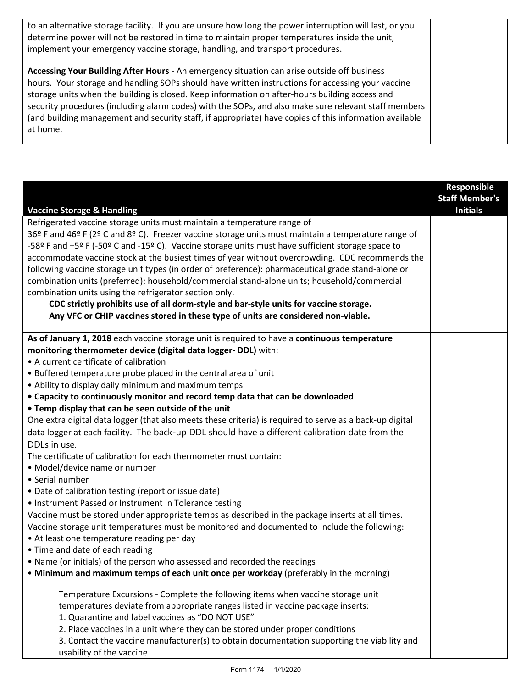| to an alternative storage facility. If you are unsure how long the power interruption will last, or you<br>determine power will not be restored in time to maintain proper temperatures inside the unit,<br>implement your emergency vaccine storage, handling, and transport procedures.                                                                                                                                                                                                                                        |  |
|----------------------------------------------------------------------------------------------------------------------------------------------------------------------------------------------------------------------------------------------------------------------------------------------------------------------------------------------------------------------------------------------------------------------------------------------------------------------------------------------------------------------------------|--|
| Accessing Your Building After Hours - An emergency situation can arise outside off business<br>hours. Your storage and handling SOPs should have written instructions for accessing your vaccine<br>storage units when the building is closed. Keep information on after-hours building access and<br>security procedures (including alarm codes) with the SOPs, and also make sure relevant staff members<br>(and building management and security staff, if appropriate) have copies of this information available<br>at home. |  |

|                                                                                                          | Responsible           |
|----------------------------------------------------------------------------------------------------------|-----------------------|
|                                                                                                          | <b>Staff Member's</b> |
| <b>Vaccine Storage &amp; Handling</b>                                                                    | <b>Initials</b>       |
| Refrigerated vaccine storage units must maintain a temperature range of                                  |                       |
| 36º F and 46º F (2º C and 8º C). Freezer vaccine storage units must maintain a temperature range of      |                       |
| -58º F and +5º F (-50º C and -15º C). Vaccine storage units must have sufficient storage space to        |                       |
| accommodate vaccine stock at the busiest times of year without overcrowding. CDC recommends the          |                       |
| following vaccine storage unit types (in order of preference): pharmaceutical grade stand-alone or       |                       |
| combination units (preferred); household/commercial stand-alone units; household/commercial              |                       |
| combination units using the refrigerator section only.                                                   |                       |
| CDC strictly prohibits use of all dorm-style and bar-style units for vaccine storage.                    |                       |
| Any VFC or CHIP vaccines stored in these type of units are considered non-viable.                        |                       |
|                                                                                                          |                       |
| As of January 1, 2018 each vaccine storage unit is required to have a continuous temperature             |                       |
| monitoring thermometer device (digital data logger- DDL) with:                                           |                       |
| • A current certificate of calibration                                                                   |                       |
| • Buffered temperature probe placed in the central area of unit                                          |                       |
| • Ability to display daily minimum and maximum temps                                                     |                       |
| • Capacity to continuously monitor and record temp data that can be downloaded                           |                       |
| . Temp display that can be seen outside of the unit                                                      |                       |
| One extra digital data logger (that also meets these criteria) is required to serve as a back-up digital |                       |
| data logger at each facility. The back-up DDL should have a different calibration date from the          |                       |
| DDLs in use.                                                                                             |                       |
| The certificate of calibration for each thermometer must contain:                                        |                       |
| • Model/device name or number                                                                            |                       |
| • Serial number                                                                                          |                       |
| • Date of calibration testing (report or issue date)                                                     |                       |
| • Instrument Passed or Instrument in Tolerance testing                                                   |                       |
| Vaccine must be stored under appropriate temps as described in the package inserts at all times.         |                       |
| Vaccine storage unit temperatures must be monitored and documented to include the following:             |                       |
| • At least one temperature reading per day                                                               |                       |
| • Time and date of each reading                                                                          |                       |
| • Name (or initials) of the person who assessed and recorded the readings                                |                       |
| . Minimum and maximum temps of each unit once per workday (preferably in the morning)                    |                       |
|                                                                                                          |                       |
| Temperature Excursions - Complete the following items when vaccine storage unit                          |                       |
| temperatures deviate from appropriate ranges listed in vaccine package inserts:                          |                       |
| 1. Quarantine and label vaccines as "DO NOT USE"                                                         |                       |
| 2. Place vaccines in a unit where they can be stored under proper conditions                             |                       |
| 3. Contact the vaccine manufacturer(s) to obtain documentation supporting the viability and              |                       |
| usability of the vaccine                                                                                 |                       |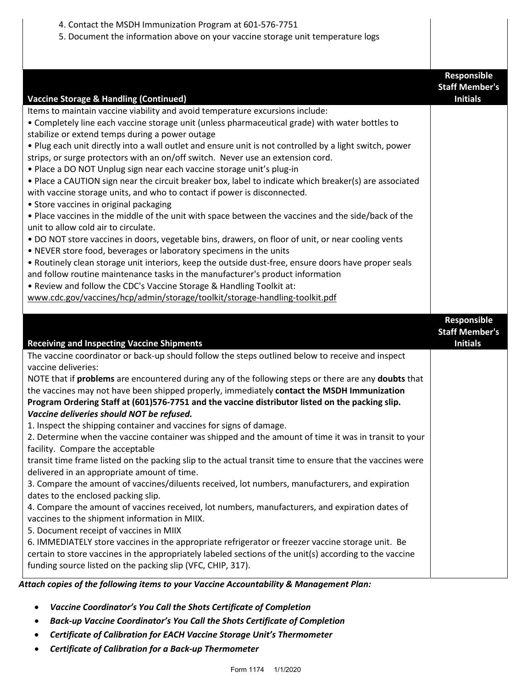| 4. Contact the MSDH Immunization Program at 601-576-7751<br>5. Document the information above on your vaccine storage unit temperature logs                                                                                                                                                                                                                                                                                                                                                                                                                                                                                                                                                                                                                                                                                                                                                                                                                                                                                                                                                                                                                                                                                                                                                                                                                                                                                                                                 |                                                         |
|-----------------------------------------------------------------------------------------------------------------------------------------------------------------------------------------------------------------------------------------------------------------------------------------------------------------------------------------------------------------------------------------------------------------------------------------------------------------------------------------------------------------------------------------------------------------------------------------------------------------------------------------------------------------------------------------------------------------------------------------------------------------------------------------------------------------------------------------------------------------------------------------------------------------------------------------------------------------------------------------------------------------------------------------------------------------------------------------------------------------------------------------------------------------------------------------------------------------------------------------------------------------------------------------------------------------------------------------------------------------------------------------------------------------------------------------------------------------------------|---------------------------------------------------------|
| <b>Vaccine Storage &amp; Handling (Continued)</b><br>Items to maintain vaccine viability and avoid temperature excursions include:<br>• Completely line each vaccine storage unit (unless pharmaceutical grade) with water bottles to<br>stabilize or extend temps during a power outage<br>. Plug each unit directly into a wall outlet and ensure unit is not controlled by a light switch, power<br>strips, or surge protectors with an on/off switch. Never use an extension cord.<br>· Place a DO NOT Unplug sign near each vaccine storage unit's plug-in<br>• Place a CAUTION sign near the circuit breaker box, label to indicate which breaker(s) are associated<br>with vaccine storage units, and who to contact if power is disconnected.<br>• Store vaccines in original packaging<br>. Place vaccines in the middle of the unit with space between the vaccines and the side/back of the<br>unit to allow cold air to circulate.<br>. DO NOT store vaccines in doors, vegetable bins, drawers, on floor of unit, or near cooling vents<br>• NEVER store food, beverages or laboratory specimens in the units<br>. Routinely clean storage unit interiors, keep the outside dust-free, ensure doors have proper seals<br>and follow routine maintenance tasks in the manufacturer's product information<br>. Review and follow the CDC's Vaccine Storage & Handling Toolkit at:<br>www.cdc.gov/vaccines/hcp/admin/storage/toolkit/storage-handling-toolkit.pdf | Responsible<br><b>Staff Member's</b><br><b>Initials</b> |
|                                                                                                                                                                                                                                                                                                                                                                                                                                                                                                                                                                                                                                                                                                                                                                                                                                                                                                                                                                                                                                                                                                                                                                                                                                                                                                                                                                                                                                                                             |                                                         |
| <b>Receiving and Inspecting Vaccine Shipments</b>                                                                                                                                                                                                                                                                                                                                                                                                                                                                                                                                                                                                                                                                                                                                                                                                                                                                                                                                                                                                                                                                                                                                                                                                                                                                                                                                                                                                                           | Responsible<br><b>Staff Member's</b><br><b>Initials</b> |

*Attach copies of the following items to your Vaccine Accountability & Management Plan:*

- *Vaccine Coordinator's You Call the Shots Certificate of Completion*
- *Back-up Vaccine Coordinator's You Call the Shots Certificate of Completion*
- *Certificate of Calibration for EACH Vaccine Storage Unit's Thermometer*
- *Certificate of Calibration for a Back-up Thermometer*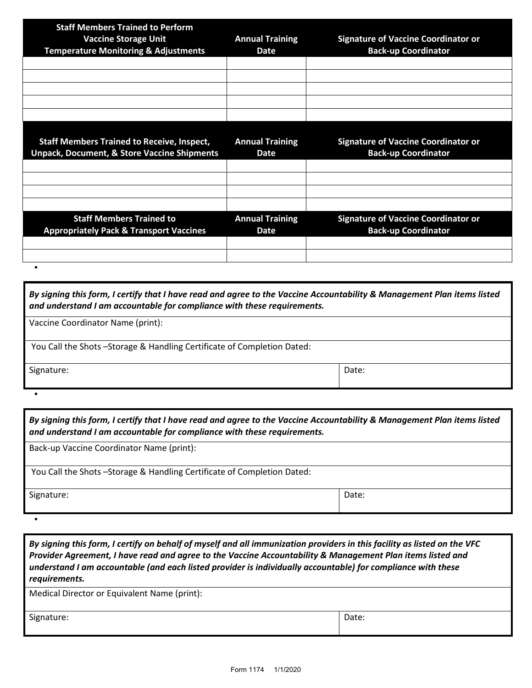| <b>Staff Members Trained to Perform</b><br><b>Vaccine Storage Unit</b><br><b>Temperature Monitoring &amp; Adjustments</b> | <b>Annual Training</b><br>Date        | <b>Signature of Vaccine Coordinator or</b><br><b>Back-up Coordinator</b> |
|---------------------------------------------------------------------------------------------------------------------------|---------------------------------------|--------------------------------------------------------------------------|
|                                                                                                                           |                                       |                                                                          |
|                                                                                                                           |                                       |                                                                          |
|                                                                                                                           |                                       |                                                                          |
| <b>Staff Members Trained to Receive, Inspect,</b><br><b>Unpack, Document, &amp; Store Vaccine Shipments</b>               | <b>Annual Training</b><br><b>Date</b> | <b>Signature of Vaccine Coordinator or</b><br><b>Back-up Coordinator</b> |
|                                                                                                                           |                                       |                                                                          |
|                                                                                                                           |                                       |                                                                          |
| <b>Staff Members Trained to</b><br><b>Appropriately Pack &amp; Transport Vaccines</b>                                     | <b>Annual Training</b><br><b>Date</b> | <b>Signature of Vaccine Coordinator or</b><br><b>Back-up Coordinator</b> |
|                                                                                                                           |                                       |                                                                          |
| ٠                                                                                                                         |                                       |                                                                          |

| By signing this form, I certify that I have read and agree to the Vaccine Accountability & Management Plan items listed<br>and understand I am accountable for compliance with these requirements. |       |  |
|----------------------------------------------------------------------------------------------------------------------------------------------------------------------------------------------------|-------|--|
| Vaccine Coordinator Name (print):                                                                                                                                                                  |       |  |
| You Call the Shots -Storage & Handling Certificate of Completion Dated:                                                                                                                            |       |  |
| Signature:                                                                                                                                                                                         | Date: |  |

•

•

| By signing this form, I certify that I have read and agree to the Vaccine Accountability & Management Plan items listed<br>and understand I am accountable for compliance with these requirements. |       |  |
|----------------------------------------------------------------------------------------------------------------------------------------------------------------------------------------------------|-------|--|
| Back-up Vaccine Coordinator Name (print):                                                                                                                                                          |       |  |
| You Call the Shots-Storage & Handling Certificate of Completion Dated:                                                                                                                             |       |  |
| Signature:                                                                                                                                                                                         | Date: |  |

*By signing this form, I certify on behalf of myself and all immunization providers in this facility as listed on the VFC Provider Agreement, I have read and agree to the Vaccine Accountability & Management Plan items listed and understand I am accountable (and each listed provider is individually accountable) for compliance with these requirements.* 

| Medical Director or Equivalent Name (print): |       |
|----------------------------------------------|-------|
| Signature:                                   | Date: |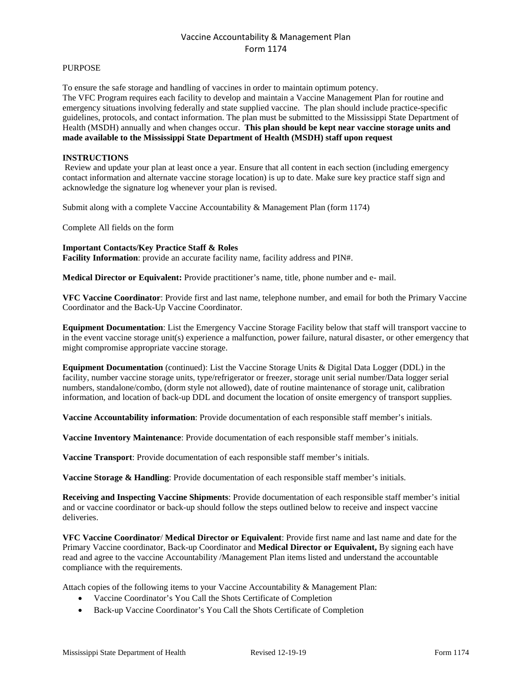## Vaccine Accountability & Management Plan Form 1174

#### PURPOSE

To ensure the safe storage and handling of vaccines in order to maintain optimum potency. The VFC Program requires each facility to develop and maintain a Vaccine Management Plan for routine and emergency situations involving federally and state supplied vaccine. The plan should include practice-specific guidelines, protocols, and contact information. The plan must be submitted to the Mississippi State Department of Health (MSDH) annually and when changes occur. **This plan should be kept near vaccine storage units and made available to the Mississippi State Department of Health (MSDH) staff upon request**

### **INSTRUCTIONS**

Review and update your plan at least once a year. Ensure that all content in each section (including emergency contact information and alternate vaccine storage location) is up to date. Make sure key practice staff sign and acknowledge the signature log whenever your plan is revised.

Submit along with a complete Vaccine Accountability & Management Plan (form 1174)

Complete All fields on the form

#### **Important Contacts/Key Practice Staff & Roles**

**Facility Information**: provide an accurate facility name, facility address and PIN#.

**Medical Director or Equivalent:** Provide practitioner's name, title, phone number and e- mail.

**VFC Vaccine Coordinator**: Provide first and last name, telephone number, and email for both the Primary Vaccine Coordinator and the Back-Up Vaccine Coordinator.

**Equipment Documentation**: List the Emergency Vaccine Storage Facility below that staff will transport vaccine to in the event vaccine storage unit(s) experience a malfunction, power failure, natural disaster, or other emergency that might compromise appropriate vaccine storage.

**Equipment Documentation** (continued): List the Vaccine Storage Units & Digital Data Logger (DDL) in the facility, number vaccine storage units, type/refrigerator or freezer, storage unit serial number/Data logger serial numbers, standalone/combo, (dorm style not allowed), date of routine maintenance of storage unit, calibration information, and location of back-up DDL and document the location of onsite emergency of transport supplies.

**Vaccine Accountability information**: Provide documentation of each responsible staff member's initials.

**Vaccine Inventory Maintenance**: Provide documentation of each responsible staff member's initials.

**Vaccine Transport**: Provide documentation of each responsible staff member's initials.

**Vaccine Storage & Handling**: Provide documentation of each responsible staff member's initials.

**Receiving and Inspecting Vaccine Shipments**: Provide documentation of each responsible staff member's initial and or vaccine coordinator or back-up should follow the steps outlined below to receive and inspect vaccine deliveries.

**VFC Vaccine Coordinator**/ **Medical Director or Equivalent**: Provide first name and last name and date for the Primary Vaccine coordinator, Back-up Coordinator and **Medical Director or Equivalent,** By signing each have read and agree to the vaccine Accountability /Management Plan items listed and understand the accountable compliance with the requirements.

Attach copies of the following items to your Vaccine Accountability & Management Plan:

- Vaccine Coordinator's You Call the Shots Certificate of Completion
- Back-up Vaccine Coordinator's You Call the Shots Certificate of Completion